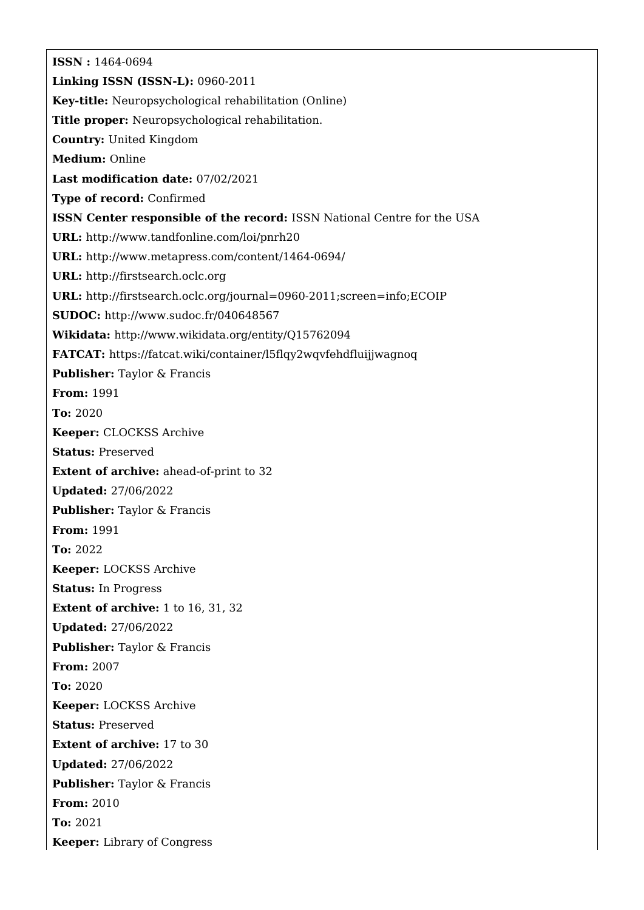**ISSN :** 1464-0694 **Linking ISSN (ISSN-L):** 0960-2011 **Key-title:** Neuropsychological rehabilitation (Online) **Title proper:** Neuropsychological rehabilitation. **Country:** United Kingdom **Medium:** Online **Last modification date:** 07/02/2021 **Type of record:** Confirmed **ISSN Center responsible of the record:** ISSN National Centre for the USA **URL:** <http://www.tandfonline.com/loi/pnrh20> **URL:** <http://www.metapress.com/content/1464-0694/> **URL:** <http://firstsearch.oclc.org> **URL:** <http://firstsearch.oclc.org/journal=0960-2011;screen=info;ECOIP> **SUDOC:** <http://www.sudoc.fr/040648567> **Wikidata:** <http://www.wikidata.org/entity/Q15762094> **FATCAT:** <https://fatcat.wiki/container/l5flqy2wqvfehdfluijjwagnoq> **Publisher:** Taylor & Francis **From:** 1991 **To:** 2020 **Keeper:** CLOCKSS Archive **Status:** Preserved **Extent of archive:** ahead-of-print to 32 **Updated:** 27/06/2022 **Publisher:** Taylor & Francis **From:** 1991 **To:** 2022 **Keeper:** LOCKSS Archive **Status:** In Progress **Extent of archive:** 1 to 16, 31, 32 **Updated:** 27/06/2022 **Publisher:** Taylor & Francis **From:** 2007 **To:** 2020 **Keeper:** LOCKSS Archive **Status:** Preserved **Extent of archive:** 17 to 30 **Updated:** 27/06/2022 **Publisher:** Taylor & Francis **From:** 2010 **To:** 2021 **Keeper:** Library of Congress